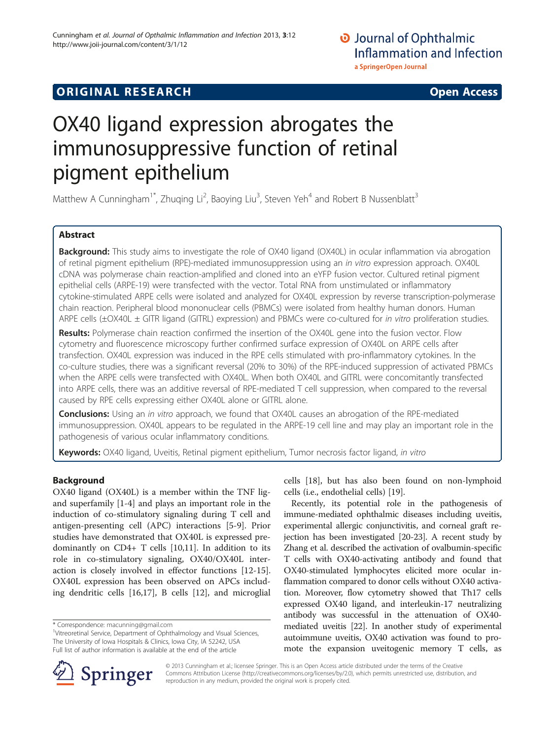# **ORIGINAL RESEARCH CONSUMING ACCESS**

# OX40 ligand expression abrogates the immunosuppressive function of retinal pigment epithelium

Matthew A Cunningham<sup>1\*</sup>, Zhuqing Li<sup>2</sup>, Baoying Liu<sup>3</sup>, Steven Yeh<sup>4</sup> and Robert B Nussenblatt<sup>3</sup>

# Abstract

Background: This study aims to investigate the role of OX40 ligand (OX40L) in ocular inflammation via abrogation of retinal pigment epithelium (RPE)-mediated immunosuppression using an in vitro expression approach. OX40L cDNA was polymerase chain reaction-amplified and cloned into an eYFP fusion vector. Cultured retinal pigment epithelial cells (ARPE-19) were transfected with the vector. Total RNA from unstimulated or inflammatory cytokine-stimulated ARPE cells were isolated and analyzed for OX40L expression by reverse transcription-polymerase chain reaction. Peripheral blood mononuclear cells (PBMCs) were isolated from healthy human donors. Human ARPE cells (±OX40L ± GITR ligand (GITRL) expression) and PBMCs were co-cultured for in vitro proliferation studies.

Results: Polymerase chain reaction confirmed the insertion of the OX40L gene into the fusion vector. Flow cytometry and fluorescence microscopy further confirmed surface expression of OX40L on ARPE cells after transfection. OX40L expression was induced in the RPE cells stimulated with pro-inflammatory cytokines. In the co-culture studies, there was a significant reversal (20% to 30%) of the RPE-induced suppression of activated PBMCs when the ARPE cells were transfected with OX40L. When both OX40L and GITRL were concomitantly transfected into ARPE cells, there was an additive reversal of RPE-mediated T cell suppression, when compared to the reversal caused by RPE cells expressing either OX40L alone or GITRL alone.

Conclusions: Using an in vitro approach, we found that OX40L causes an abrogation of the RPE-mediated immunosuppression. OX40L appears to be regulated in the ARPE-19 cell line and may play an important role in the pathogenesis of various ocular inflammatory conditions.

Keywords: OX40 ligand, Uveitis, Retinal pigment epithelium, Tumor necrosis factor ligand, in vitro

# Background

OX40 ligand (OX40L) is a member within the TNF ligand superfamily [[1-4](#page-6-0)] and plays an important role in the induction of co-stimulatory signaling during T cell and antigen-presenting cell (APC) interactions [[5-9](#page-6-0)]. Prior studies have demonstrated that OX40L is expressed predominantly on CD4+ T cells [\[10,11\]](#page-6-0). In addition to its role in co-stimulatory signaling, OX40/OX40L interaction is closely involved in effector functions [\[12-15](#page-6-0)]. OX40L expression has been observed on APCs including dendritic cells [\[16,17](#page-6-0)], B cells [[12\]](#page-6-0), and microglial cells [[18\]](#page-6-0), but has also been found on non-lymphoid cells (i.e., endothelial cells) [[19\]](#page-6-0).

Recently, its potential role in the pathogenesis of immune-mediated ophthalmic diseases including uveitis, experimental allergic conjunctivitis, and corneal graft rejection has been investigated [\[20-23\]](#page-6-0). A recent study by Zhang et al. described the activation of ovalbumin-specific T cells with OX40-activating antibody and found that OX40-stimulated lymphocytes elicited more ocular inflammation compared to donor cells without OX40 activation. Moreover, flow cytometry showed that Th17 cells expressed OX40 ligand, and interleukin-17 neutralizing antibody was successful in the attenuation of OX40 mediated uveitis [[22](#page-6-0)]. In another study of experimental autoimmune uveitis, OX40 activation was found to promote the expansion uveitogenic memory T cells, as



© 2013 Cunningham et al.; licensee Springer. This is an Open Access article distributed under the terms of the Creative Commons Attribution License (<http://creativecommons.org/licenses/by/2.0>), which permits unrestricted use, distribution, and reproduction in any medium, provided the original work is properly cited.

<sup>\*</sup> Correspondence: [macunning@gmail.com](mailto:macunning@gmail.com) <sup>1</sup>

<sup>&</sup>lt;sup>1</sup>Vitreoretinal Service, Department of Ophthalmology and Visual Sciences, The University of Iowa Hospitals & Clinics, Iowa City, IA 52242, USA Full list of author information is available at the end of the article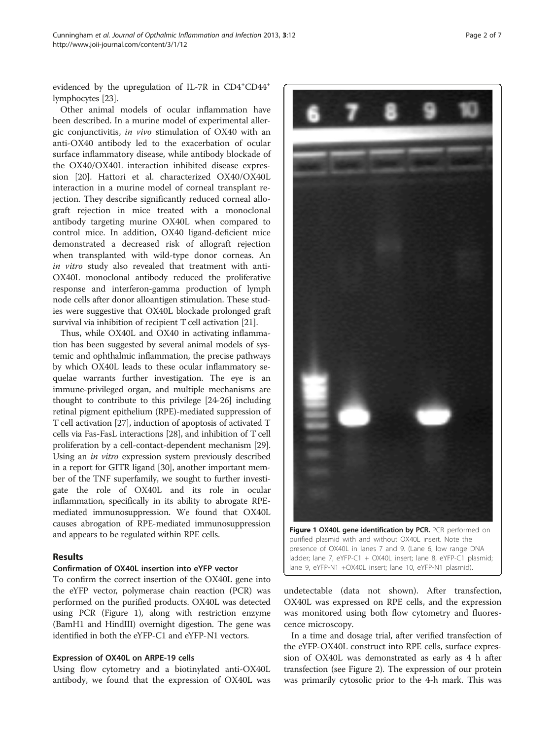evidenced by the upregulation of IL-7R in CD4<sup>+</sup>CD44<sup>+</sup> lymphocytes [\[23\]](#page-6-0).

Other animal models of ocular inflammation have been described. In a murine model of experimental allergic conjunctivitis, in vivo stimulation of OX40 with an anti-OX40 antibody led to the exacerbation of ocular surface inflammatory disease, while antibody blockade of the OX40/OX40L interaction inhibited disease expression [[20](#page-6-0)]. Hattori et al. characterized OX40/OX40L interaction in a murine model of corneal transplant rejection. They describe significantly reduced corneal allograft rejection in mice treated with a monoclonal antibody targeting murine OX40L when compared to control mice. In addition, OX40 ligand-deficient mice demonstrated a decreased risk of allograft rejection when transplanted with wild-type donor corneas. An in vitro study also revealed that treatment with anti-OX40L monoclonal antibody reduced the proliferative response and interferon-gamma production of lymph node cells after donor alloantigen stimulation. These studies were suggestive that OX40L blockade prolonged graft survival via inhibition of recipient T cell activation [\[21\]](#page-6-0).

Thus, while OX40L and OX40 in activating inflammation has been suggested by several animal models of systemic and ophthalmic inflammation, the precise pathways by which OX40L leads to these ocular inflammatory sequelae warrants further investigation. The eye is an immune-privileged organ, and multiple mechanisms are thought to contribute to this privilege [\[24-26\]](#page-6-0) including retinal pigment epithelium (RPE)-mediated suppression of T cell activation [[27](#page-6-0)], induction of apoptosis of activated T cells via Fas-FasL interactions [\[28\]](#page-6-0), and inhibition of T cell proliferation by a cell-contact-dependent mechanism [[29](#page-6-0)]. Using an in vitro expression system previously described in a report for GITR ligand [\[30\]](#page-6-0), another important member of the TNF superfamily, we sought to further investigate the role of OX40L and its role in ocular inflammation, specifically in its ability to abrogate RPEmediated immunosuppression. We found that OX40L causes abrogation of RPE-mediated immunosuppression and appears to be regulated within RPE cells.

## Results

## Confirmation of OX40L insertion into eYFP vector

To confirm the correct insertion of the OX40L gene into the eYFP vector, polymerase chain reaction (PCR) was performed on the purified products. OX40L was detected using PCR (Figure 1), along with restriction enzyme (BamH1 and HindIII) overnight digestion. The gene was identified in both the eYFP-C1 and eYFP-N1 vectors.

#### Expression of OX40L on ARPE-19 cells

Using flow cytometry and a biotinylated anti-OX40L antibody, we found that the expression of OX40L was

undetectable (data not shown). After transfection, ladder; lane 7, eYFP-C1 + OX40L insert; lane 8, eYFP-C1 plasmid; lane 9, eYFP-N1 +OX40L insert; lane 10, eYFP-N1 plasmid).

purified plasmid with and without OX40L insert. Note the presence of OX40L in lanes 7 and 9. (Lane 6, low range DNA

OX40L was expressed on RPE cells, and the expression was monitored using both flow cytometry and fluorescence microscopy.

In a time and dosage trial, after verified transfection of the eYFP-OX40L construct into RPE cells, surface expression of OX40L was demonstrated as early as 4 h after transfection (see Figure [2\)](#page-2-0). The expression of our protein was primarily cytosolic prior to the 4-h mark. This was



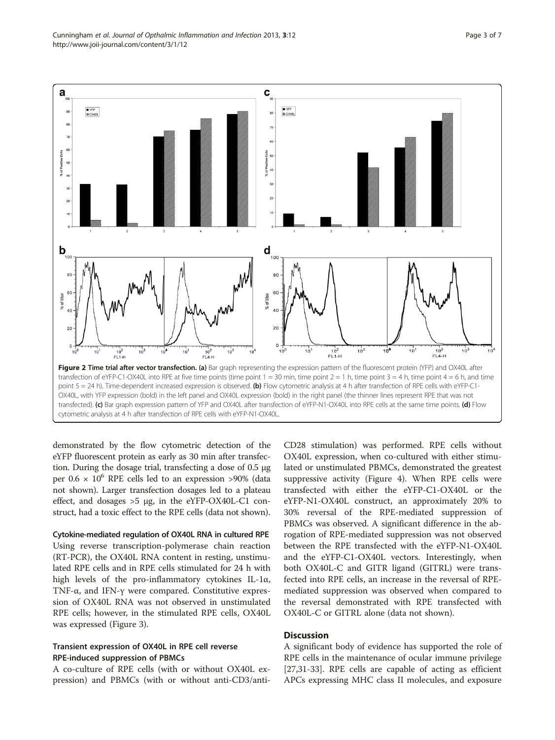<span id="page-2-0"></span>

demonstrated by the flow cytometric detection of the eYFP fluorescent protein as early as 30 min after transfection. During the dosage trial, transfecting a dose of 0.5 μg per  $0.6 \times 10^6$  RPE cells led to an expression >90% (data not shown). Larger transfection dosages led to a plateau effect, and dosages  $>5 \mu$ g, in the eYFP-OX40L-C1 construct, had a toxic effect to the RPE cells (data not shown).

Cytokine-mediated regulation of OX40L RNA in cultured RPE

Using reverse transcription-polymerase chain reaction (RT-PCR), the OX40L RNA content in resting, unstimulated RPE cells and in RPE cells stimulated for 24 h with high levels of the pro-inflammatory cytokines IL-1α, TNF-α, and IFN-γ were compared. Constitutive expression of OX40L RNA was not observed in unstimulated RPE cells; however, in the stimulated RPE cells, OX40L was expressed (Figure [3](#page-3-0)).

# Transient expression of OX40L in RPE cell reverse RPE-induced suppression of PBMCs

A co-culture of RPE cells (with or without OX40L expression) and PBMCs (with or without anti-CD3/anti-

CD28 stimulation) was performed. RPE cells without OX40L expression, when co-cultured with either stimulated or unstimulated PBMCs, demonstrated the greatest suppressive activity (Figure [4](#page-4-0)). When RPE cells were transfected with either the eYFP-C1-OX40L or the eYFP-N1-OX40L construct, an approximately 20% to 30% reversal of the RPE-mediated suppression of PBMCs was observed. A significant difference in the abrogation of RPE-mediated suppression was not observed between the RPE transfected with the eYFP-N1-OX40L and the eYFP-C1-OX40L vectors. Interestingly, when both OX40L-C and GITR ligand (GITRL) were transfected into RPE cells, an increase in the reversal of RPEmediated suppression was observed when compared to the reversal demonstrated with RPE transfected with OX40L-C or GITRL alone (data not shown).

# **Discussion**

A significant body of evidence has supported the role of RPE cells in the maintenance of ocular immune privilege [[27,31-33\]](#page-6-0). RPE cells are capable of acting as efficient APCs expressing MHC class II molecules, and exposure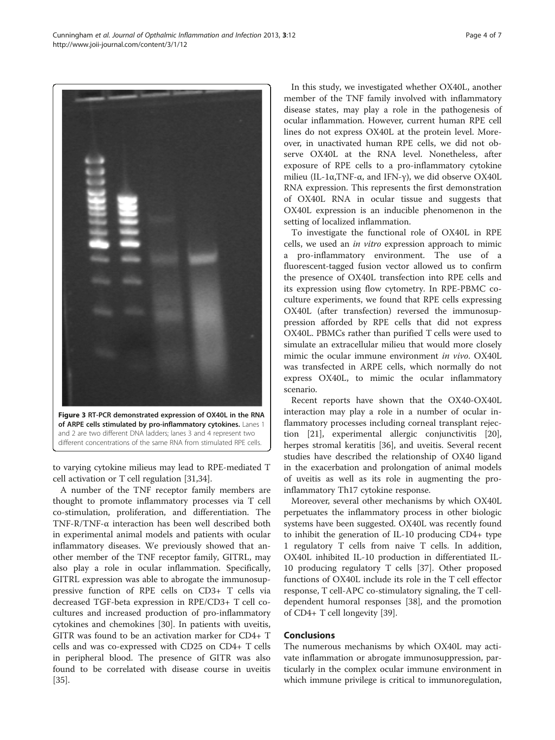to varying cytokine milieus may lead to RPE-mediated T cell activation or T cell regulation [[31,34\]](#page-6-0).

Figure 3 RT-PCR demonstrated expression of OX40L in the RNA of ARPE cells stimulated by pro-inflammatory cytokines. Lanes 1 and 2 are two different DNA ladders; lanes 3 and 4 represent two different concentrations of the same RNA from stimulated RPE cells.

A number of the TNF receptor family members are thought to promote inflammatory processes via T cell co-stimulation, proliferation, and differentiation. The TNF-R/TNF-α interaction has been well described both in experimental animal models and patients with ocular inflammatory diseases. We previously showed that another member of the TNF receptor family, GITRL, may also play a role in ocular inflammation. Specifically, GITRL expression was able to abrogate the immunosuppressive function of RPE cells on CD3+ T cells via decreased TGF-beta expression in RPE/CD3+ T cell cocultures and increased production of pro-inflammatory cytokines and chemokines [[30\]](#page-6-0). In patients with uveitis, GITR was found to be an activation marker for CD4+ T cells and was co-expressed with CD25 on CD4+ T cells in peripheral blood. The presence of GITR was also found to be correlated with disease course in uveitis [[35\]](#page-6-0).

In this study, we investigated whether OX40L, another member of the TNF family involved with inflammatory disease states, may play a role in the pathogenesis of ocular inflammation. However, current human RPE cell lines do not express OX40L at the protein level. Moreover, in unactivated human RPE cells, we did not observe OX40L at the RNA level. Nonetheless, after exposure of RPE cells to a pro-inflammatory cytokine milieu (IL-1α, TNF-α, and IFN-γ), we did observe OX40L RNA expression. This represents the first demonstration of OX40L RNA in ocular tissue and suggests that OX40L expression is an inducible phenomenon in the setting of localized inflammation.

To investigate the functional role of OX40L in RPE cells, we used an in vitro expression approach to mimic a pro-inflammatory environment. The use of a fluorescent-tagged fusion vector allowed us to confirm the presence of OX40L transfection into RPE cells and its expression using flow cytometry. In RPE-PBMC coculture experiments, we found that RPE cells expressing OX40L (after transfection) reversed the immunosuppression afforded by RPE cells that did not express OX40L. PBMCs rather than purified T cells were used to simulate an extracellular milieu that would more closely mimic the ocular immune environment in vivo. OX40L was transfected in ARPE cells, which normally do not express OX40L, to mimic the ocular inflammatory scenario.

Recent reports have shown that the OX40-OX40L interaction may play a role in a number of ocular inflammatory processes including corneal transplant rejection [[21\]](#page-6-0), experimental allergic conjunctivitis [\[20](#page-6-0)], herpes stromal keratitis [[36\]](#page-6-0), and uveitis. Several recent studies have described the relationship of OX40 ligand in the exacerbation and prolongation of animal models of uveitis as well as its role in augmenting the proinflammatory Th17 cytokine response.

Moreover, several other mechanisms by which OX40L perpetuates the inflammatory process in other biologic systems have been suggested. OX40L was recently found to inhibit the generation of IL-10 producing CD4+ type 1 regulatory T cells from naive T cells. In addition, OX40L inhibited IL-10 production in differentiated IL-10 producing regulatory T cells [[37\]](#page-6-0). Other proposed functions of OX40L include its role in the T cell effector response, T cell-APC co-stimulatory signaling, the T celldependent humoral responses [\[38](#page-6-0)], and the promotion of CD4+ T cell longevity [\[39](#page-6-0)].

#### Conclusions

The numerous mechanisms by which OX40L may activate inflammation or abrogate immunosuppression, particularly in the complex ocular immune environment in which immune privilege is critical to immunoregulation,

<span id="page-3-0"></span>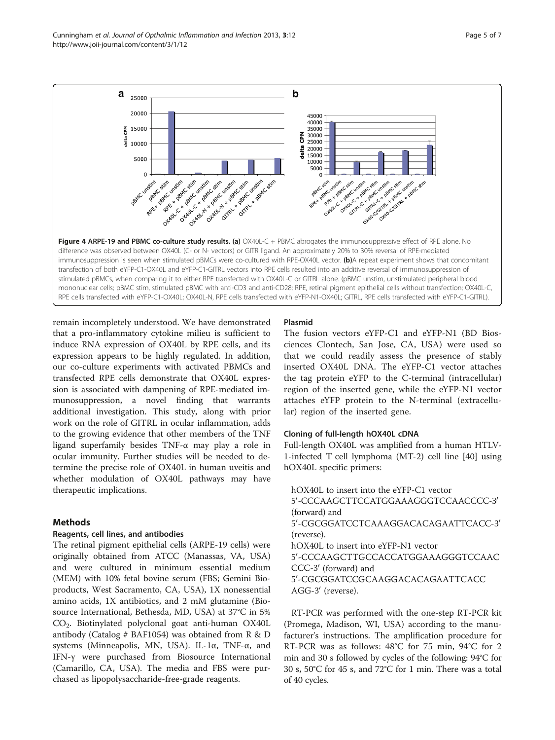<span id="page-4-0"></span>Cunningham et al. Journal of Opthalmic Inflammation and Infection 2013, 3:12 http://www.joii-journal.com/content/3/1/12



remain incompletely understood. We have demonstrated that a pro-inflammatory cytokine milieu is sufficient to induce RNA expression of OX40L by RPE cells, and its expression appears to be highly regulated. In addition, our co-culture experiments with activated PBMCs and transfected RPE cells demonstrate that OX40L expression is associated with dampening of RPE-mediated immunosuppression, a novel finding that warrants additional investigation. This study, along with prior work on the role of GITRL in ocular inflammation, adds to the growing evidence that other members of the TNF ligand superfamily besides TNF-α may play a role in ocular immunity. Further studies will be needed to determine the precise role of OX40L in human uveitis and whether modulation of OX40L pathways may have therapeutic implications.

# Methods

### Reagents, cell lines, and antibodies

The retinal pigment epithelial cells (ARPE-19 cells) were originally obtained from ATCC (Manassas, VA, USA) and were cultured in minimum essential medium (MEM) with 10% fetal bovine serum (FBS; Gemini Bioproducts, West Sacramento, CA, USA), 1X nonessential amino acids, 1X antibiotics, and 2 mM glutamine (Biosource International, Bethesda, MD, USA) at 37°C in 5% CO2. Biotinylated polyclonal goat anti-human OX40L antibody (Catalog # BAF1054) was obtained from R & D systems (Minneapolis, MN, USA). IL-1α, TNF-α, and IFN-γ were purchased from Biosource International (Camarillo, CA, USA). The media and FBS were purchased as lipopolysaccharide-free-grade reagents.

# Plasmid

The fusion vectors eYFP-C1 and eYFP-N1 (BD Biosciences Clontech, San Jose, CA, USA) were used so that we could readily assess the presence of stably inserted OX40L DNA. The eYFP-C1 vector attaches the tag protein eYFP to the C-terminal (intracellular) region of the inserted gene, while the eYFP-N1 vector attaches eYFP protein to the N-terminal (extracellular) region of the inserted gene.

# Cloning of full-length hOX40L cDNA

Full-length OX40L was amplified from a human HTLV-1-infected T cell lymphoma (MT-2) cell line [[40](#page-6-0)] using hOX40L specific primers:

hOX40L to insert into the eYFP-C1 vector 5'-CCCAAGCTTCCATGGAAAGGGTCCAACCCC-3' (forward) and 5'-CGCGGATCCTCAAAGGACACAGAATTCACC-3' (reverse). hOX40L to insert into eYFP-N1 vector 5'-CCCAAGCTTGCCACCATGGAAAGGGTCCAAC CCC-3' (forward) and 5'-CGCGGATCCGCAAGGACACAGAATTCACC AGG-3' (reverse).

RT-PCR was performed with the one-step RT-PCR kit (Promega, Madison, WI, USA) according to the manufacturer's instructions. The amplification procedure for RT-PCR was as follows: 48°C for 75 min, 94°C for 2 min and 30 s followed by cycles of the following: 94°C for 30 s, 50°C for 45 s, and 72°C for 1 min. There was a total of 40 cycles.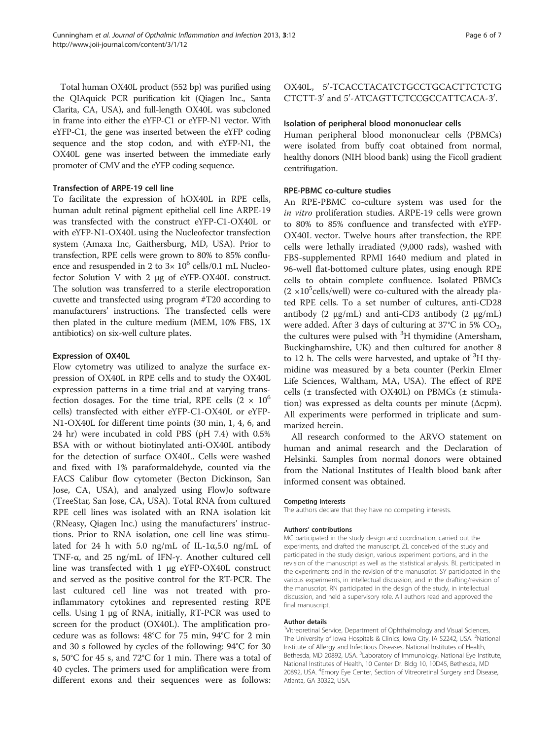Total human OX40L product (552 bp) was purified using the QIAquick PCR purification kit (Qiagen Inc., Santa Clarita, CA, USA), and full-length OX40L was subcloned in frame into either the eYFP-C1 or eYFP-N1 vector. With eYFP-C1, the gene was inserted between the eYFP coding sequence and the stop codon, and with eYFP-N1, the OX40L gene was inserted between the immediate early promoter of CMV and the eYFP coding sequence.

#### Transfection of ARPE-19 cell line

To facilitate the expression of hOX40L in RPE cells, human adult retinal pigment epithelial cell line ARPE-19 was transfected with the construct eYFP-C1-OX40L or with eYFP-N1-OX40L using the Nucleofector transfection system (Amaxa Inc, Gaithersburg, MD, USA). Prior to transfection, RPE cells were grown to 80% to 85% confluence and resuspended in 2 to  $3 \times 10^6$  cells/0.1 mL Nucleofector Solution V with 2 μg of eYFP-OX40L construct. The solution was transferred to a sterile electroporation cuvette and transfected using program #T20 according to manufacturers' instructions. The transfected cells were then plated in the culture medium (MEM, 10% FBS, 1X antibiotics) on six-well culture plates.

#### Expression of OX40L

Flow cytometry was utilized to analyze the surface expression of OX40L in RPE cells and to study the OX40L expression patterns in a time trial and at varying transfection dosages. For the time trial, RPE cells  $(2 \times 10^6$ cells) transfected with either eYFP-C1-OX40L or eYFP-N1-OX40L for different time points (30 min, 1, 4, 6, and 24 hr) were incubated in cold PBS (pH 7.4) with 0.5% BSA with or without biotinylated anti-OX40L antibody for the detection of surface OX40L. Cells were washed and fixed with 1% paraformaldehyde, counted via the FACS Calibur flow cytometer (Becton Dickinson, San Jose, CA, USA), and analyzed using FlowJo software (TreeStar, San Jose, CA, USA). Total RNA from cultured RPE cell lines was isolated with an RNA isolation kit (RNeasy, Qiagen Inc.) using the manufacturers' instructions. Prior to RNA isolation, one cell line was stimulated for 24 h with 5.0 ng/mL of IL-1 $\alpha$ ,5.0 ng/mL of TNF-α, and 25 ng/mL of IFN-γ. Another cultured cell line was transfected with 1 μg eYFP-OX40L construct and served as the positive control for the RT-PCR. The last cultured cell line was not treated with proinflammatory cytokines and represented resting RPE cells. Using 1 μg of RNA, initially, RT-PCR was used to screen for the product (OX40L). The amplification procedure was as follows: 48°C for 75 min, 94°C for 2 min and 30 s followed by cycles of the following: 94°C for 30 s, 50°C for 45 s, and 72°C for 1 min. There was a total of 40 cycles. The primers used for amplification were from different exons and their sequences were as follows:

OX40L, 5'-TCACCTACATCTGCCTGCACTTCTCTG CTCTT-3' and 5'-ATCAGTTCTCCGCCATTCACA-3'.

#### Isolation of peripheral blood mononuclear cells

Human peripheral blood mononuclear cells (PBMCs) were isolated from buffy coat obtained from normal, healthy donors (NIH blood bank) using the Ficoll gradient centrifugation.

#### RPE-PBMC co-culture studies

An RPE-PBMC co-culture system was used for the in vitro proliferation studies. ARPE-19 cells were grown to 80% to 85% confluence and transfected with eYFP-OX40L vector. Twelve hours after transfection, the RPE cells were lethally irradiated (9,000 rads), washed with FBS-supplemented RPMI 1640 medium and plated in 96-well flat-bottomed culture plates, using enough RPE cells to obtain complete confluence. Isolated PBMCs  $(2 \times 10^5$ cells/well) were co-cultured with the already plated RPE cells. To a set number of cultures, anti-CD28 antibody (2 μg/mL) and anti-CD3 antibody (2 μg/mL) were added. After 3 days of culturing at  $37^{\circ}$ C in 5% CO<sub>2</sub>, the cultures were pulsed with <sup>3</sup>H thymidine (Amersham, Buckinghamshire, UK) and then cultured for another 8 to 12 h. The cells were harvested, and uptake of  ${}^{3}H$  thymidine was measured by a beta counter (Perkin Elmer Life Sciences, Waltham, MA, USA). The effect of RPE cells (± transfected with OX40L) on PBMCs (± stimulation) was expressed as delta counts per minute (Δcpm). All experiments were performed in triplicate and summarized herein.

All research conformed to the ARVO statement on human and animal research and the Declaration of Helsinki. Samples from normal donors were obtained from the National Institutes of Health blood bank after informed consent was obtained.

#### Competing interests

The authors declare that they have no competing interests.

#### Authors' contributions

MC participated in the study design and coordination, carried out the experiments, and drafted the manuscript. ZL conceived of the study and participated in the study design, various experiment portions, and in the revision of the manuscript as well as the statistical analysis. BL participated in the experiments and in the revision of the manuscript. SY participated in the various experiments, in intellectual discussion, and in the drafting/revision of the manuscript. RN participated in the design of the study, in intellectual discussion, and held a supervisory role. All authors read and approved the final manuscript.

#### Author details

<sup>1</sup>Vitreoretinal Service, Department of Ophthalmology and Visual Sciences The University of Iowa Hospitals & Clinics, Iowa City, IA 52242, USA. <sup>2</sup>National Institute of Allergy and Infectious Diseases, National Institutes of Health, Bethesda, MD 20892, USA. <sup>3</sup>Laboratory of Immunology, National Eye Institute, National Institutes of Health, 10 Center Dr. Bldg 10, 10D45, Bethesda, MD 20892, USA. <sup>4</sup> Emory Eye Center, Section of Vitreoretinal Surgery and Disease, Atlanta, GA 30322, USA.